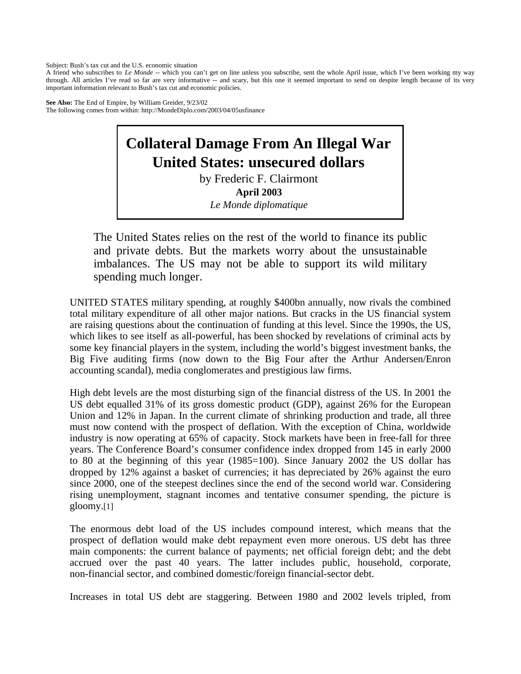Subject: Bush's tax cut and the U.S. economic situation

A friend who subscribes to *Le Monde* -- which you can't get on line unless you subscribe, sent the whole April issue, which I've been working my way through. All articles I've read so far are very informative -- and scary, but this one it seemed important to send on despite length because of its very important information relevant to Bush's tax cut and economic policies.

**See Also:** The End of Empire, by William Greider, 9/23/02 The following comes from within: http://MondeDiplo.com/2003/04/05usfinance

## **Collateral Damage From An Illegal War United States: unsecured dollars**

by Frederic F. Clairmont **April 2003**  *Le Monde diplomatique* 

The United States relies on the rest of the world to finance its public and private debts. But the markets worry about the unsustainable imbalances. The US may not be able to support its wild military spending much longer.

UNITED STATES military spending, at roughly \$400bn annually, now rivals the combined total military expenditure of all other major nations. But cracks in the US financial system are raising questions about the continuation of funding at this level. Since the 1990s, the US, which likes to see itself as all-powerful, has been shocked by revelations of criminal acts by some key financial players in the system, including the world's biggest investment banks, the Big Five auditing firms (now down to the Big Four after the Arthur Andersen/Enron accounting scandal), media conglomerates and prestigious law firms.

High debt levels are the most disturbing sign of the financial distress of the US. In 2001 the US debt equalled 31% of its gross domestic product (GDP), against 26% for the European Union and 12% in Japan. In the current climate of shrinking production and trade, all three must now contend with the prospect of deflation. With the exception of China, worldwide industry is now operating at 65% of capacity. Stock markets have been in free-fall for three years. The Conference Board's consumer confidence index dropped from 145 in early 2000 to 80 at the beginning of this year (1985=100). Since January 2002 the US dollar has dropped by 12% against a basket of currencies; it has depreciated by 26% against the euro since 2000, one of the steepest declines since the end of the second world war. Considering rising unemployment, stagnant incomes and tentative consumer spending, the picture is gloomy.[1]

The enormous debt load of the US includes compound interest, which means that the prospect of deflation would make debt repayment even more onerous. US debt has three main components: the current balance of payments; net official foreign debt; and the debt accrued over the past 40 years. The latter includes public, household, corporate, non-financial sector, and combined domestic/foreign financial-sector debt.

Increases in total US debt are staggering. Between 1980 and 2002 levels tripled, from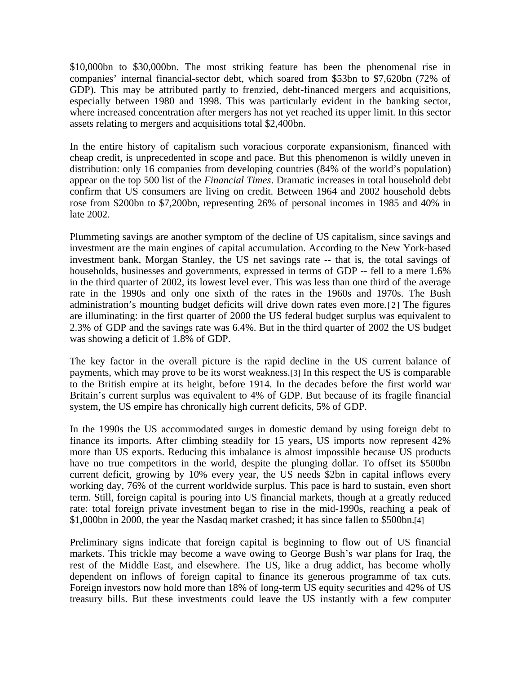\$10,000bn to \$30,000bn. The most striking feature has been the phenomenal rise in companies' internal financial-sector debt, which soared from \$53bn to \$7,620bn (72% of GDP). This may be attributed partly to frenzied, debt-financed mergers and acquisitions, especially between 1980 and 1998. This was particularly evident in the banking sector, where increased concentration after mergers has not yet reached its upper limit. In this sector assets relating to mergers and acquisitions total \$2,400bn.

In the entire history of capitalism such voracious corporate expansionism, financed with cheap credit, is unprecedented in scope and pace. But this phenomenon is wildly uneven in distribution: only 16 companies from developing countries (84% of the world's population) appear on the top 500 list of the *Financial Times*. Dramatic increases in total household debt confirm that US consumers are living on credit. Between 1964 and 2002 household debts rose from \$200bn to \$7,200bn, representing 26% of personal incomes in 1985 and 40% in late 2002.

Plummeting savings are another symptom of the decline of US capitalism, since savings and investment are the main engines of capital accumulation. According to the New York-based investment bank, Morgan Stanley, the US net savings rate -- that is, the total savings of households, businesses and governments, expressed in terms of GDP -- fell to a mere 1.6% in the third quarter of 2002, its lowest level ever. This was less than one third of the average rate in the 1990s and only one sixth of the rates in the 1960s and 1970s. The Bush administration's mounting budget deficits will drive down rates even more.[2] The figures are illuminating: in the first quarter of 2000 the US federal budget surplus was equivalent to 2.3% of GDP and the savings rate was 6.4%. But in the third quarter of 2002 the US budget was showing a deficit of 1.8% of GDP.

The key factor in the overall picture is the rapid decline in the US current balance of payments, which may prove to be its worst weakness.[3] In this respect the US is comparable to the British empire at its height, before 1914. In the decades before the first world war Britain's current surplus was equivalent to 4% of GDP. But because of its fragile financial system, the US empire has chronically high current deficits, 5% of GDP.

In the 1990s the US accommodated surges in domestic demand by using foreign debt to finance its imports. After climbing steadily for 15 years, US imports now represent 42% more than US exports. Reducing this imbalance is almost impossible because US products have no true competitors in the world, despite the plunging dollar. To offset its \$500bn current deficit, growing by 10% every year, the US needs \$2bn in capital inflows every working day, 76% of the current worldwide surplus. This pace is hard to sustain, even short term. Still, foreign capital is pouring into US financial markets, though at a greatly reduced rate: total foreign private investment began to rise in the mid-1990s, reaching a peak of \$1,000bn in 2000, the year the Nasdaq market crashed; it has since fallen to \$500bn.[4]

Preliminary signs indicate that foreign capital is beginning to flow out of US financial markets. This trickle may become a wave owing to George Bush's war plans for Iraq, the rest of the Middle East, and elsewhere. The US, like a drug addict, has become wholly dependent on inflows of foreign capital to finance its generous programme of tax cuts. Foreign investors now hold more than 18% of long-term US equity securities and 42% of US treasury bills. But these investments could leave the US instantly with a few computer